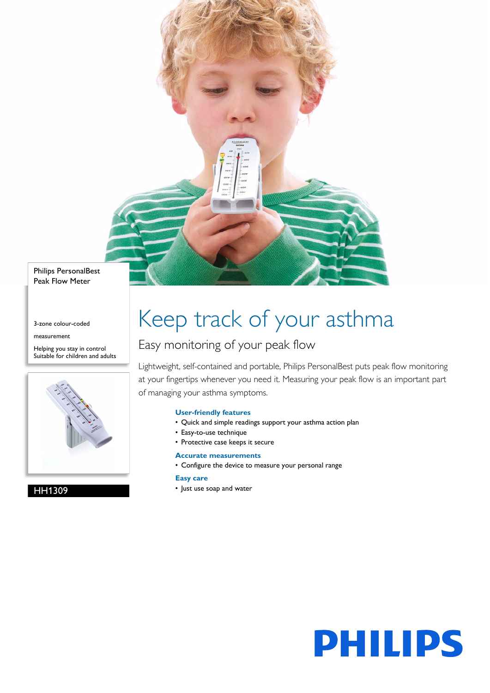Philips PersonalBest Peak Flow Meter

3-zone colour-coded

measurement

Helping you stay in control Suitable for children and adults



HH1309

# Keep track of your asthma

### Easy monitoring of your peak flow

Lightweight, self-contained and portable, Philips PersonalBest puts peak flow monitoring at your fingertips whenever you need it. Measuring your peak flow is an important part of managing your asthma symptoms.

#### **User-friendly features**

- Quick and simple readings support your asthma action plan
- Easy-to-use technique
- Protective case keeps it secure

#### **Accurate measurements**

• Configure the device to measure your personal range

#### **Easy care**

• Just use soap and water